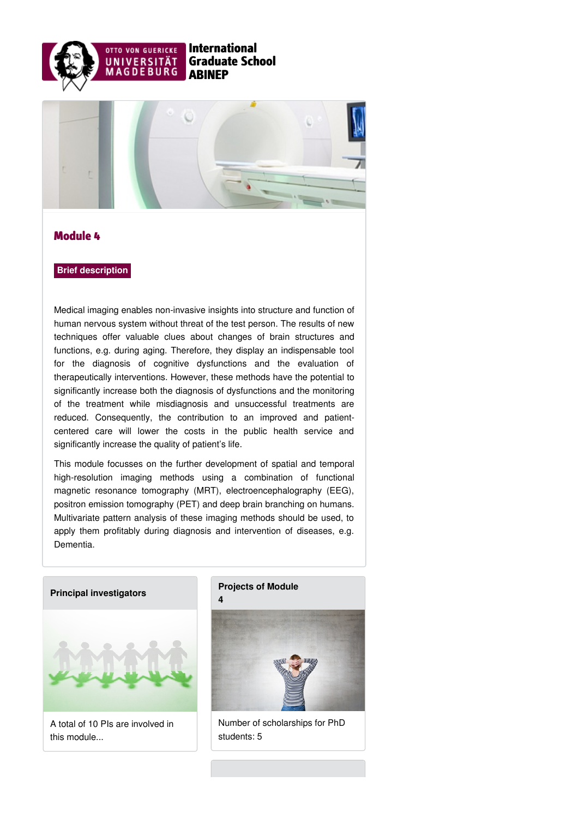



## Module 4

## **Brief description**

Medical imaging enables non-invasive insights into structure and function of human nervous system without threat of the test person. The results of new techniques offer valuable clues about changes of brain structures and functions, e.g. during aging. Therefore, they display an indispensable tool for the diagnosis of cognitive dysfunctions and the evaluation of therapeutically interventions. However, these methods have the potential to significantly increase both the diagnosis of dysfunctions and the monitoring of the treatment while misdiagnosis and unsuccessful treatments are reduced. Consequently, the contribution to an improved and patientcentered care will lower the costs in the public health service and significantly increase the quality of patient's life.

This module focusses on the further development of spatial and temporal high-resolution imaging methods using a combination of functional magnetic resonance tomography (MRT), electroencephalography (EEG), positron emission tomography (PET) and deep brain branching on humans. Multivariate pattern analysis of these imaging methods should be used, to apply them profitably during diagnosis and intervention of diseases, e.g. Dementia.

## **Principal [investigators](https://www.abinep.ovgu.de/Module+4/Principal+investigators.html)**



A total of 10 PIs are involved in this module...

## **[Projects](https://www.abinep.ovgu.de/Module+4/Projects+of+Module+4.html) of Module 4**



Number of scholarships for PhD students: 5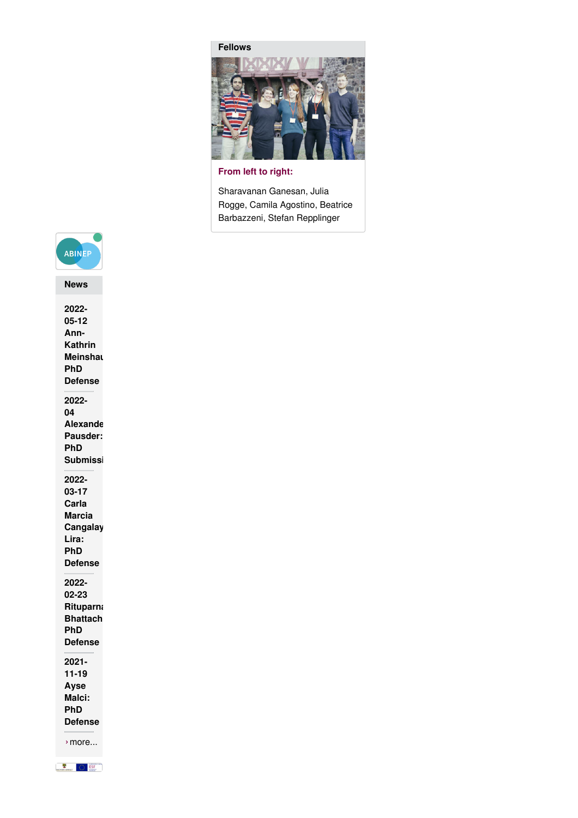**[Fellows](https://www.abinep.ovgu.de/Module+4/Fellows.html)**



**From left to right:**

Sharavanan Ganesan, Julia Rogge, Camila Agostino, Beatrice Barbazzeni, Stefan Repplinger



**2022- 05-12 Ann-Kathrin Meinshau PhD Defense 2022- 04 Alexande Pausder: PhD Submissi 2022- 03-17 Carla Marcia Cangalay Lira: PhD Defense 2022- 02-23 Rituparna Bhattach PhD Defense 2021- 11-19 Ayse Malci: PhD [Defense](https://www.abinep.ovgu.de/home/News/2021_11_19+Ayse+Malci_+PhD+Defense-p-324.html)**

›[more...](https://www.abinep.ovgu.de/News.html)

SACHSEN-ANHALT COM